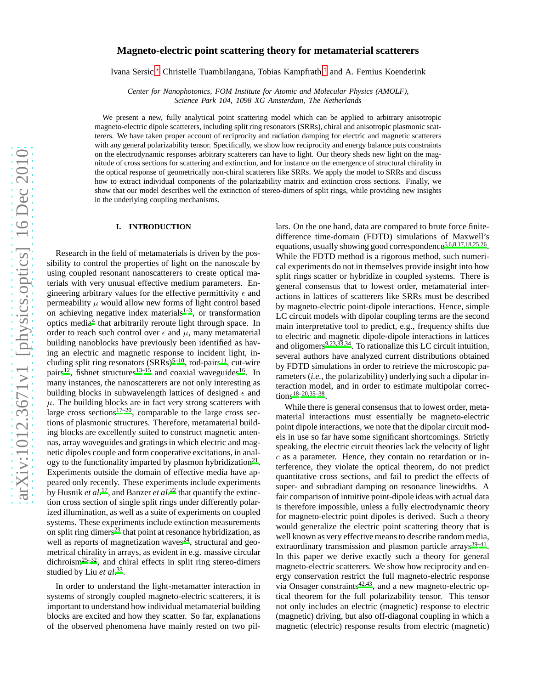# **Magneto-electric point scattering theory for metamaterial scatterers**

Ivana Sersic,[∗](#page-10-0) Christelle Tuambilangana, Tobias Kampfrath,[†](#page-10-1) and A. Femius Koenderink

*Center for Nanophotonics, FOM Institute for Atomic and Molecular Physics (AMOLF), Science Park 104, 1098 XG Amsterdam, The Netherlands*

We present a new, fully analytical point scattering model which can be applied to arbitrary anisotropic magneto-electric dipole scatterers, including split ring resonators (SRRs), chiral and anisotropic plasmonic scatterers. We have taken proper account of reciprocity and radiation damping for electric and magnetic scatterers with any general polarizability tensor. Specifically, we show how reciprocity and energy balance puts constraints on the electrodynamic responses arbitrary scatterers can have to light. Our theory sheds new light on the magnitude of cross sections for scattering and extinction, and for instance on the emergence of structural chirality in the optical response of geometrically non-chiral scatterers like SRRs. We apply the model to SRRs and discuss how to extract individual components of the polarizability matrix and extinction cross sections. Finally, we show that our model describes well the extinction of stereo-dimers of split rings, while providing new insights in the underlying coupling mechanisms.

### **I. INTRODUCTION**

Research in the field of metamaterials is driven by the possibility to control the properties of light on the nanoscale by using coupled resonant nanoscatterers to create optical materials with very unusual effective medium parameters. Engineering arbitrary values for the effective permittivity  $\epsilon$  and permeability  $\mu$  would allow new forms of light control based on achieving negative index materials $1-3$  $1-3$ , or transformation optics medi[a](#page-10-4)<sup>4</sup> that arbitrarily reroute light through space. In order to reach such control over  $\epsilon$  and  $\mu$ , many metamaterial building nanoblocks have previously been identified as having an electric and magnetic response to incident light, including split ring resonators  $(SRRs)^{5-10}$  $(SRRs)^{5-10}$  $(SRRs)^{5-10}$ , rod-pairs<sup>[11](#page-10-7)</sup>, cut-wire pairs<sup>[12](#page-10-8)</sup>, fishnet structures<sup>[13](#page-10-9)[–15](#page-10-10)</sup> and coaxial waveguides<sup>[16](#page-10-11)</sup>. In many instances, the nanoscatterers are not only interesting as building blocks in subwavelength lattices of designed  $\epsilon$  and  $\mu$ . The building blocks are in fact very strong scatterers with large cross sections $17-20$  $17-20$ , comparable to the large cross sections of plasmonic structures. Therefore, metamaterial building blocks are excellently suited to construct magnetic antennas, array waveguides and gratings in which electric and magnetic dipoles couple and form cooperative excitations, in analogy to the functionality imparted by plasmon hybridization $2^1$ . Experiments outside the domain of effective media have appeared only recently. These experiments include experiments by Husnik *et al*. [17](#page-10-12), and Banzer *et al*[.](#page-10-15) <sup>22</sup> that quantify the extinction cross section of single split rings under differently polarized illumination, as well as a suite of experiments on coupled systems. These experiments include extinction measurements on split ring dimers $^{23}$  $^{23}$  $^{23}$  that point at resonance hybridization, as well as reports of magnetization waves<sup>[24](#page-10-17)</sup>, structural and geometrical chirality in arrays, as evident in e.g. massive circular  $\text{dichroism}^{25-32}$  $\text{dichroism}^{25-32}$  $\text{dichroism}^{25-32}$ , and chiral effects in split ring stereo-dimers studied by Liu *et al*. [33](#page-11-1) .

In order to understand the light-metamatter interaction in systems of strongly coupled magneto-electric scatterers, it is important to understand how individual metamaterial building blocks are excited and how they scatter. So far, explanations of the observed phenomena have mainly rested on two pillars. On the one hand, data are compared to brute force finitedifference time-domain (FDTD) simulations of Maxwell's equations, usually showing good correspondence<sup>[5](#page-10-5)[,6](#page-10-19)[,8](#page-10-20)[,17](#page-10-12)[,18](#page-10-21)[,25](#page-10-18)[,26](#page-10-22)</sup>. While the FDTD method is a rigorous method, such numerical experiments do not in themselves provide insight into how split rings scatter or hybridize in coupled systems. There is general consensus that to lowest order, metamaterial interactions in lattices of scatterers like SRRs must be described by magneto-electric point-dipole interactions. Hence, simple LC circuit models with dipolar coupling terms are the second main interpretative tool to predict, e.g., frequency shifts due to electric and magnetic dipole-dipole interactions in lattices and oligomer[s](#page-10-23) $9,23,33,34$  $9,23,33,34$  $9,23,33,34$  $9,23,33,34$ . To rationalize this LC circuit intuition, several authors have analyzed current distributions obtained by FDTD simulations in order to retrieve the microscopic parameters (*i.e.*, the polarizability) underlying such a dipolar interaction model, and in order to estimate multipolar correc- $tions^{18-20,35-38}.$  $tions^{18-20,35-38}.$  $tions^{18-20,35-38}.$  $tions^{18-20,35-38}.$  $tions^{18-20,35-38}.$ 

While there is general consensus that to lowest order, metamaterial interactions must essentially be magneto-electric point dipole interactions, we note that the dipolar circuit models in use so far have some significant shortcomings. Strictly speaking, the electric circuit theories lack the velocity of light c as a parameter. Hence, they contain no retardation or interference, they violate the optical theorem, do not predict quantitative cross sections, and fail to predict the effects of super- and subradiant damping on resonance linewidths. A fair comparison of intuitive point-dipole ideas with actual data is therefore impossible, unless a fully electrodynamic theory for magneto-electric point dipoles is derived. Such a theory would generalize the electric point scattering theory that is well known as very effective means to describe random media, extraordinary transmission and plasmon particle arrays<sup>[39](#page-11-5)-41</sup>. In this paper we derive exactly such a theory for general magneto-electric scatterers. We show how reciprocity and energy conservation restrict the full magneto-electric response via On[s](#page-11-7)ager constraints $42,43$  $42,43$ , and a new magneto-electric optical theorem for the full polarizability tensor. This tensor not only includes an electric (magnetic) response to electric (magnetic) driving, but also off-diagonal coupling in which a magnetic (electric) response results from electric (magnetic)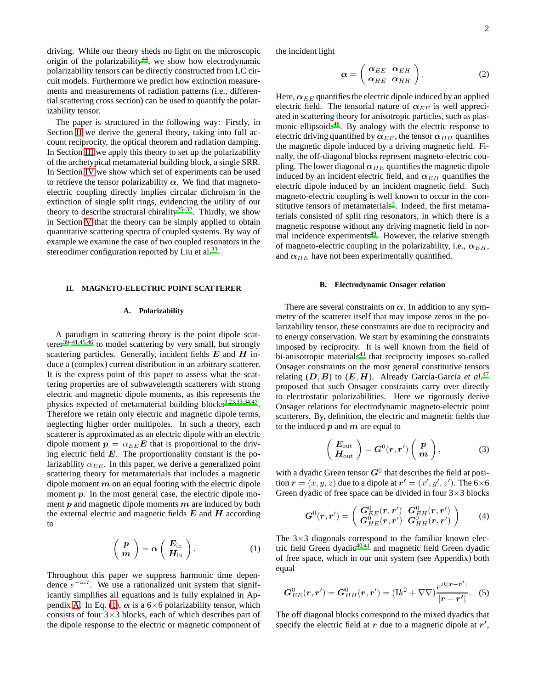driving. While our theory sheds no light on the microscopic origin of the polarizability<sup>[44](#page-11-9)</sup>, we show how electrodynamic polarizability tensors can be directly constructed from LC circuit models. Furthermore we predict how extinction measurements and measurements of radiation patterns (i.e., differential scattering cross section) can be used to quantify the polarizability tensor.

The paper is structured in the following way: Firstly, in Section [II](#page-1-0) we derive the general theory, taking into full account reciprocity, the optical theorem and radiation damping. In Section [III](#page-4-0) we apply this theory to set up the polarizability of the archetypical metamaterial building block, a single SRR. In Section [IV](#page-5-0) we show which set of experiments can be used to retrieve the tensor polarizability  $\alpha$ . We find that magnetoelectric coupling directly implies circular dichroism in the extinction of single split rings, evidencing the utility of our theory to describe structural chirality<sup>[25](#page-10-18)[–32](#page-11-0)</sup>. Thirdly, we show in Section [V](#page-7-0) that the theory can be simply applied to obtain quantitative scattering spectra of coupled systems. By way of example we examine the case of two coupled resonators in the stereodimer configuration reported by Liu et al.<sup>[33](#page-11-1)</sup>.

### <span id="page-1-0"></span>**II. MAGNETO-ELECTRIC POINT SCATTERER**

## **A. Polarizability**

A paradigm in scattering theory is the point dipole scatte[r](#page-11-5)er<sup>39-41[,45](#page-11-10)[,46](#page-11-11)</sup> to model scattering by very small, but strongly scattering particles. Generally, incident fields  $E$  and  $H$  induce a (complex) current distribution in an arbitrary scatterer. It is the express point of this paper to assess what the scattering properties are of subwavelength scatterers with strong electric and magnetic dipole moments, as this represents the physics expected of metamaterial building blocks<sup>[9](#page-10-23)[,23](#page-10-16)[,33](#page-11-1)[,34](#page-11-2)[,47](#page-11-12)</sup>. Therefore we retain only electric and magnetic dipole terms, neglecting higher order multipoles. In such a theory, each scatterer is approximated as an electric dipole with an electric dipole moment  $p = \alpha_{EE} E$  that is proportional to the driving electric field  $E$ . The proportionality constant is the polarizability  $\alpha_{EE}$ . In this paper, we derive a generalized point scattering theory for metamaterials that includes a magnetic dipole moment  $m$  on an equal footing with the electric dipole moment  $p$ . In the most general case, the electric dipole moment  $p$  and magnetic dipole moments  $m$  are induced by both the external electric and magnetic fields  $E$  and  $H$  according to

<span id="page-1-1"></span>
$$
\left(\begin{array}{c}\boldsymbol{p}\\ \boldsymbol{m}\end{array}\right)=\boldsymbol{\alpha}\left(\begin{array}{c}\boldsymbol{E}_{\mathrm{in}}\\ \boldsymbol{H}_{\mathrm{in}}\end{array}\right).
$$
 (1)

Throughout this paper we suppress harmonic time dependence  $e^{-i\omega t}$ . We use a rationalized unit system that significantly simplifies all equations and is fully explained in Ap-pendix [A.](#page-9-0) In Eq. [\(1\)](#page-1-1),  $\alpha$  is a 6×6 polarizability tensor, which consists of four  $3\times3$  blocks, each of which describes part of the dipole response to the electric or magnetic component of the incident light

$$
\boldsymbol{\alpha} = \left(\begin{array}{cc} \boldsymbol{\alpha}_{EE} & \boldsymbol{\alpha}_{EH} \\ \boldsymbol{\alpha}_{HE} & \boldsymbol{\alpha}_{HH} \end{array}\right). \tag{2}
$$

Here,  $\alpha_{EE}$  quantifies the electric dipole induced by an applied electric field. The tensorial nature of  $\alpha_{EE}$  is well appreciated in scattering theory for anisotropic particles, such as plas-monic ellipsoids<sup>[48](#page-11-13)</sup>. By analogy with the electric response to electric driving quantified by  $\alpha_{EE}$ , the tensor  $\alpha_{HH}$  quantifies the magnetic dipole induced by a driving magnetic field. Finally, the off-diagonal blocks represent magneto-electric coupling. The lower diagonal  $\alpha_{HE}$  quantifies the magnetic dipole induced by an incident electric field, and  $\alpha_{EH}$  quantifies the electric dipole induced by an incident magnetic field. Such magneto-electric coupling is well known to occur in the con[s](#page-10-24)titutive tensors of metamaterials<sup>7</sup>. Indeed, the first metamaterials consisted of split ring resonators, in which there is a magnetic response without any driving magnetic field in nor-mal incidence experiments<sup>[49](#page-11-14)</sup>. However, the relative strength of magneto-electric coupling in the polarizability, i.e.,  $\alpha_{EH}$ , and  $\alpha_{HE}$  have not been experimentally quantified.

### **B. Electrodynamic Onsager relation**

There are several constraints on  $\alpha$ . In addition to any symmetry of the scatterer itself that may impose zeros in the polarizability tensor, these constraints are due to reciprocity and to energy conservation. We start by examining the constraints imposed by reciprocity. It is well known from the field of bi-anisotropic materials<sup>[43](#page-11-8)</sup> that reciprocity imposes so-called Onsager constraints on the most general constitutive tensors relating  $(D, B)$  to  $(E, H)$ . Already García-García *et al.*<sup>[47](#page-11-12)</sup> proposed that such Onsager constraints carry over directly to electrostatic polarizabilities. Here we rigorously derive Onsager relations for electrodynamic magneto-electric point scatterers. By, definition, the electric and magnetic fields due to the induced  $p$  and  $m$  are equal to

<span id="page-1-2"></span>
$$
\left(\begin{array}{c}\nE_{\text{out}} \\
H_{\text{out}}\n\end{array}\right) = G^{0}(r,r')\left(\begin{array}{c}\np \\
m\n\end{array}\right),\n\tag{3}
$$

with a dyadic Green tensor  $G^0$  that describes the field at position  $\mathbf{r} = (x, y, z)$  due to a dipole at  $\mathbf{r'} = (x', y', z')$ . The 6×6 Green dyadic of free space can be divided in four  $3 \times 3$  blocks

$$
G^{0}(\mathbf{r},\mathbf{r}') = \begin{pmatrix} G_{EE}^{0}(\mathbf{r},\mathbf{r}') & G_{EH}^{0}(\mathbf{r},\mathbf{r}') \\ G_{HE}^{0}(\mathbf{r},\mathbf{r}') & G_{HH}^{0}(\mathbf{r},\mathbf{r}') \end{pmatrix}
$$
 (4)

The  $3\times3$  diagonals correspond to the familiar known electric field Green dyadic $40,41$  $40,41$  and magnetic field Green dyadic of free space, which in our unit system (see Appendix) both equal

$$
G_{EE}^{0}(\mathbf{r},\mathbf{r}') = G_{HH}^{0}(\mathbf{r},\mathbf{r}') = (\mathbb{I}k^{2} + \nabla \nabla) \frac{e^{ik|\mathbf{r} - \mathbf{r}'|}}{|\mathbf{r} - \mathbf{r}'|}.
$$
 (5)

The off diagonal blocks correspond to the mixed dyadics that specify the electric field at  $\vec{r}$  due to a magnetic dipole at  $\vec{r}$ ,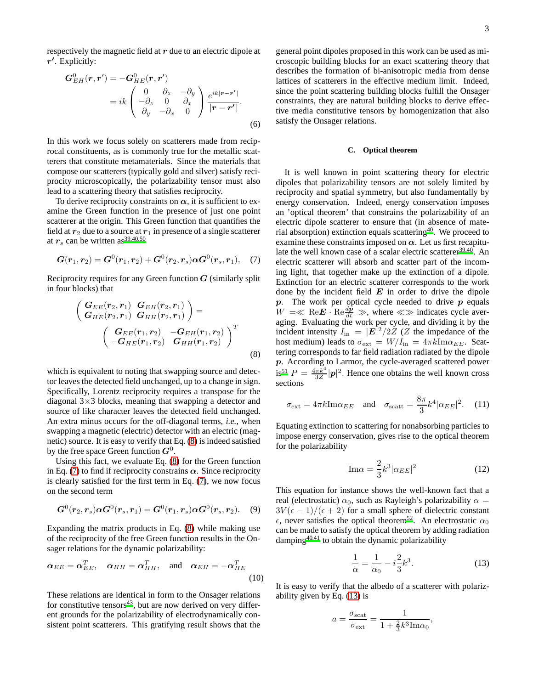respectively the magnetic field at  $r$  due to an electric dipole at  $r'$ . Explicitly:

$$
G_{EH}^{0}(\mathbf{r}, \mathbf{r}') = -G_{HE}^{0}(\mathbf{r}, \mathbf{r}')
$$
  
=  $ik \begin{pmatrix} 0 & \partial_{z} & -\partial_{y} \\ -\partial_{z} & 0 & \partial_{x} \\ \partial_{y} & -\partial_{x} & 0 \end{pmatrix} \frac{e^{ik|\mathbf{r} - \mathbf{r}'|}}{|\mathbf{r} - \mathbf{r}'|}.$  (6)

In this work we focus solely on scatterers made from reciprocal constituents, as is commonly true for the metallic scatterers that constitute metamaterials. Since the materials that compose our scatterers (typically gold and silver) satisfy reciprocity microscopically, the polarizability tensor must also lead to a scattering theory that satisfies reciprocity.

To derive reciprocity constraints on  $\alpha$ , it is sufficient to examine the Green function in the presence of just one point scatterer at the origin. This Green function that quantifies the field at  $r_2$  due to a source at  $r_1$  in presence of a single scatterer at  $r_s$  can be written as<sup>[39](#page-11-5)[,40](#page-11-15)[,50](#page-11-16)</sup>

<span id="page-2-1"></span>
$$
G(r_1, r_2) = G^{0}(r_1, r_2) + G^{0}(r_2, r_s) \alpha G^{0}(r_s, r_1), \quad (7)
$$

Reciprocity requires for any Green function  $G$  (similarly split in four blocks) that

<span id="page-2-0"></span>
$$
\begin{pmatrix}\nG_{EE}(r_2, r_1) & G_{EH}(r_2, r_1) \\
G_{HE}(r_2, r_1) & G_{HH}(r_2, r_1)\n\end{pmatrix} = \n\begin{pmatrix}\nG_{EE}(r_1, r_2) & -G_{EH}(r_1, r_2) \\
-G_{HE}(r_1, r_2) & G_{HH}(r_1, r_2)\n\end{pmatrix}^T
$$
\n(8)

which is equivalent to noting that swapping source and detector leaves the detected field unchanged, up to a change in sign. Specifically, Lorentz reciprocity requires a transpose for the diagonal  $3\times3$  blocks, meaning that swapping a detector and source of like character leaves the detected field unchanged. An extra minus occurs for the off-diagonal terms, *i.e.*, when swapping a magnetic (electric) detector with an electric (magnetic) source. It is easy to verify that Eq. [\(8\)](#page-2-0) is indeed satisfied by the free space Green function  $G^0$ .

Using this fact, we evaluate Eq. [\(8\)](#page-2-0) for the Green function in Eq. [\(7\)](#page-2-1) to find if reciprocity constrains  $\alpha$ . Since reciprocity is clearly satisfied for the first term in Eq. [\(7\)](#page-2-1), we now focus on the second term

$$
\boldsymbol{G}^0(\boldsymbol{r}_2,\boldsymbol{r}_s)\boldsymbol{\alpha}\boldsymbol{G}^0(\boldsymbol{r}_s,\boldsymbol{r}_1)=\boldsymbol{G}^0(\boldsymbol{r}_1,\boldsymbol{r}_s)\boldsymbol{\alpha}\boldsymbol{G}^0(\boldsymbol{r}_s,\boldsymbol{r}_2). \quad (9)
$$

Expanding the matrix products in Eq. [\(8\)](#page-2-0) while making use of the reciprocity of the free Green function results in the Onsager relations for the dynamic polarizability:

$$
\boldsymbol{\alpha}_{EE} = \boldsymbol{\alpha}_{EE}^T, \quad \boldsymbol{\alpha}_{HH} = \boldsymbol{\alpha}_{HH}^T, \quad \text{and} \quad \boldsymbol{\alpha}_{EH} = -\boldsymbol{\alpha}_{HE}^T
$$
\n(10)

These relations are identical in form to the Onsager relations for constitutive tensors $43$ , but are now derived on very different grounds for the polarizability of electrodynamically consistent point scatterers. This gratifying result shows that the

general point dipoles proposed in this work can be used as microscopic building blocks for an exact scattering theory that describes the formation of bi-anisotropic media from dense lattices of scatterers in the effective medium limit. Indeed, since the point scattering building blocks fulfill the Onsager constraints, they are natural building blocks to derive effective media constitutive tensors by homogenization that also satisfy the Onsager relations.

### **C. Optical theorem**

It is well known in point scattering theory for electric dipoles that polarizability tensors are not solely limited by reciprocity and spatial symmetry, but also fundamentally by energy conservation. Indeed, energy conservation imposes an 'optical theorem' that constrains the polarizability of an electric dipole scatterer to ensure that (in absence of material absorption) extinction equals scatterin[g](#page-11-15)<sup>40</sup>. We proceed to examine these constraints imposed on  $\alpha$ . Let us first recapitu-late the well known case of a scalar electric scatterer<sup>[39](#page-11-5)[,40](#page-11-15)</sup>. An electric scatterer will absorb and scatter part of the incoming light, that together make up the extinction of a dipole. Extinction for an electric scatterer corresponds to the work done by the incident field  $E$  in order to drive the dipole  $p$ . The work per optical cycle needed to drive  $p$  equals  $W = \ll \text{Re}E \cdot \text{Re} \frac{d\hat{p}}{dt} \gg$ , where  $\ll \gg$  indicates cycle averaging. Evaluating the work per cycle, and dividing it by the incident intensity  $I_{\text{in}} = |\mathbf{E}|^2 / 2Z$  (Z the impedance of the host medium) leads to  $\sigma_{\text{ext}} = W/I_{\text{in}} = 4\pi k \text{Im}\alpha_{EE}$ . Scattering corresponds to far field radiation radiated by the dipole p. According to Larmor, the cycle-averaged scattered power  $\sin^{51} P = \frac{4\pi k^4}{3Z} |\mathbf{p}|^2$  $\sin^{51} P = \frac{4\pi k^4}{3Z} |\mathbf{p}|^2$  $\sin^{51} P = \frac{4\pi k^4}{3Z} |\mathbf{p}|^2$ . Hence one obtains the well known cross sections

$$
\sigma_{\text{ext}} = 4\pi k \text{Im}\alpha_{EE} \quad \text{and} \quad \sigma_{\text{scatt}} = \frac{8\pi}{3} k^4 |\alpha_{EE}|^2. \tag{11}
$$

Equating extinction to scattering for nonabsorbing particles to impose energy conservation, gives rise to the optical theorem for the polarizability

<span id="page-2-3"></span>
$$
\mathrm{Im}\alpha = \frac{2}{3}k^3|\alpha_{EE}|^2\tag{12}
$$

This equation for instance shows the well-known fact that a real (electrostatic)  $\alpha_0$ , such as Rayleigh's polarizability  $\alpha =$  $3V(\epsilon-1)/(\epsilon+2)$  for a small sphere of dielectric constant  $\epsilon$ , never satisfies the optical theorem<sup>[52](#page-11-18)</sup>. An electrostatic  $\alpha_0$ can be made to satisfy the optical theorem by adding radiation damping[40](#page-11-15)[,41](#page-11-6) to obtain the dynamic polarizability

<span id="page-2-2"></span>
$$
\frac{1}{\alpha} = \frac{1}{\alpha_0} - i\frac{2}{3}k^3.
$$
 (13)

,

It is easy to verify that the albedo of a scatterer with polarizability given by Eq. [\(13\)](#page-2-2) is

$$
a = \frac{\sigma_{\text{scat}}}{\sigma_{\text{ext}}} = \frac{1}{1 + \frac{2}{3}k^3 \text{Im}\alpha_0}
$$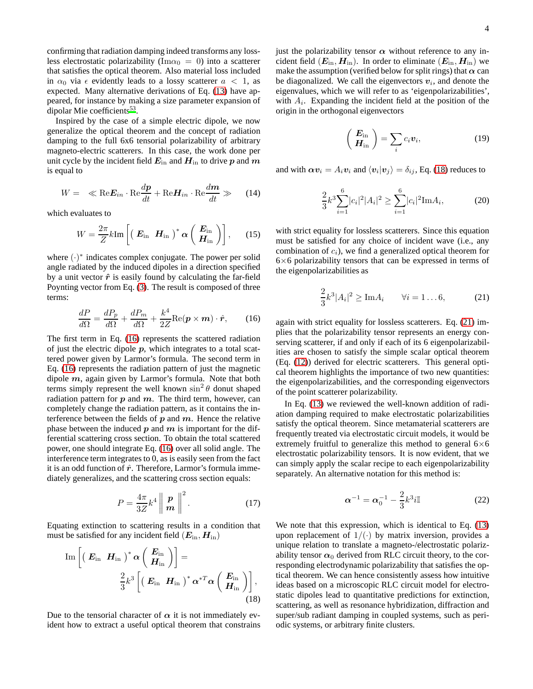confirming that radiation damping indeed transforms any lossless electrostatic polarizability (Im $\alpha_0 = 0$ ) into a scatterer that satisfies the optical theorem. Also material loss included in  $\alpha_0$  via  $\epsilon$  evidently leads to a lossy scatterer  $a < 1$ , as expected. Many alternative derivations of Eq. [\(13\)](#page-2-2) have appeared, for instance by making a size parameter expansion of dipolar Mie coefficients<sup>[53](#page-11-19)</sup>.

Inspired by the case of a simple electric dipole, we now generalize the optical theorem and the concept of radiation damping to the full 6x6 tensorial polarizability of arbitrary magneto-electric scatterers. In this case, the work done per unit cycle by the incident field  $E_{\text{in}}$  and  $H_{\text{in}}$  to drive p and m is equal to

$$
W = \ll \text{Re} \mathbf{E}_{in} \cdot \text{Re} \frac{dp}{dt} + \text{Re} \mathbf{H}_{in} \cdot \text{Re} \frac{dm}{dt} \gg (14)
$$

which evaluates to

$$
W = \frac{2\pi}{Z} k \text{Im} \left[ \left( \begin{array}{cc} \boldsymbol{E}_{\text{in}} & \boldsymbol{H}_{\text{in}} \end{array} \right)^* \boldsymbol{\alpha} \left( \begin{array}{c} \boldsymbol{E}_{\text{in}} \\ \boldsymbol{H}_{\text{in}} \end{array} \right) \right], \qquad (15)
$$

where  $(\cdot)^*$  indicates complex conjugate. The power per solid angle radiated by the induced dipoles in a direction specified by a unit vector  $\hat{r}$  is easily found by calculating the far-field Poynting vector from Eq. [\(3\)](#page-1-2). The result is composed of three terms:

<span id="page-3-0"></span>
$$
\frac{dP}{d\Omega} = \frac{dP_p}{d\Omega} + \frac{dP_m}{d\Omega} + \frac{k^4}{2Z} \text{Re}(\boldsymbol{p} \times \boldsymbol{m}) \cdot \hat{\boldsymbol{r}},\qquad(16)
$$

The first term in Eq. [\(16\)](#page-3-0) represents the scattered radiation of just the electric dipole  $p$ , which integrates to a total scattered power given by Larmor's formula. The second term in Eq. [\(16\)](#page-3-0) represents the radiation pattern of just the magnetic dipole  $m$ , again given by Larmor's formula. Note that both terms simply represent the well known  $\sin^2 \theta$  donut shaped radiation pattern for  $p$  and  $m$ . The third term, however, can completely change the radiation pattern, as it contains the interference between the fields of  $p$  and  $m$ . Hence the relative phase between the induced  $p$  and  $m$  is important for the differential scattering cross section. To obtain the total scattered power, one should integrate Eq. [\(16\)](#page-3-0) over all solid angle. The interference term integrates to 0, as is easily seen from the fact it is an odd function of  $\hat{r}$ . Therefore, Larmor's formula immediately generalizes, and the scattering cross section equals:

$$
P = \frac{4\pi}{3Z} k^4 \left\| \frac{\boldsymbol{p}}{\boldsymbol{m}} \right\|^2.
$$
 (17)

Equating extinction to scattering results in a condition that must be satisfied for any incident field  $(E_{\text{in}}, H_{\text{in}})$ 

<span id="page-3-1"></span>
$$
\operatorname{Im}\left[\left(\begin{array}{cc} \boldsymbol{E}_{\mathrm{in}} & \boldsymbol{H}_{\mathrm{in}}\end{array}\right)^{*}\boldsymbol{\alpha}\left(\begin{array}{c} \boldsymbol{E}_{\mathrm{in}} \\ \boldsymbol{H}_{\mathrm{in}}\end{array}\right)\right]=\frac{2}{3}k^{3}\left[\left(\begin{array}{cc} \boldsymbol{E}_{\mathrm{in}} & \boldsymbol{H}_{\mathrm{in}}\end{array}\right)^{*}\boldsymbol{\alpha}^{*T}\boldsymbol{\alpha}\left(\begin{array}{c} \boldsymbol{E}_{\mathrm{in}} \\ \boldsymbol{H}_{\mathrm{in}}\end{array}\right)\right],\tag{18}
$$

Due to the tensorial character of  $\alpha$  it is not immediately evident how to extract a useful optical theorem that constrains just the polarizability tensor  $\alpha$  without reference to any incident field  $(E_{\text{in}}, H_{\text{in}})$ . In order to eliminate  $(E_{\text{in}}, H_{\text{in}})$  we make the assumption (verified below for split rings) that  $\alpha$  can be diagonalized. We call the eigenvectors  $v_i$ , and denote the eigenvalues, which we will refer to as 'eigenpolarizabilities', with  $A_i$ . Expanding the incident field at the position of the origin in the orthogonal eigenvectors

$$
\left(\begin{array}{c}\nE_{\text{in}} \\
H_{\text{in}}\n\end{array}\right) = \sum_{i} c_i \mathbf{v}_i,\tag{19}
$$

and with  $\boldsymbol{\alpha v}_i = A_i \boldsymbol{v}_i$  and  $\langle \boldsymbol{v}_i | \boldsymbol{v}_j \rangle = \delta_{ij}$ , Eq. [\(18\)](#page-3-1) reduces to

$$
\frac{2}{3}k^3 \sum_{i=1}^6 |c_i|^2 |A_i|^2 \ge \sum_{i=1}^6 |c_i|^2 \text{Im} A_i,\tag{20}
$$

with strict equality for lossless scatterers. Since this equation must be satisfied for any choice of incident wave (i.e., any combination of  $c_i$ ), we find a generalized optical theorem for  $6\times6$  polarizability tensors that can be expressed in terms of the eigenpolarizabilities as

<span id="page-3-2"></span>
$$
\frac{2}{3}k^3|A_i|^2 \geq \text{Im}A_i \qquad \forall i = 1...6, \tag{21}
$$

again with strict equality for lossless scatterers. Eq. [\(21\)](#page-3-2) implies that the polarizability tensor represents an energy conserving scatterer, if and only if each of its 6 eigenpolarizabilities are chosen to satisfy the simple scalar optical theorem (Eq. [\(12\)](#page-2-3)) derived for electric scatterers. This general optical theorem highlights the importance of two new quantities: the eigenpolarizabilities, and the corresponding eigenvectors of the point scatterer polarizability.

In Eq. [\(13\)](#page-2-2) we reviewed the well-known addition of radiation damping required to make electrostatic polarizabilities satisfy the optical theorem. Since metamaterial scatterers are frequently treated via electrostatic circuit models, it would be extremely fruitful to generalize this method to general  $6\times6$ electrostatic polarizability tensors. It is now evident, that we can simply apply the scalar recipe to each eigenpolarizability separately. An alternative notation for this method is:

<span id="page-3-3"></span>
$$
\boldsymbol{\alpha}^{-1} = \boldsymbol{\alpha}_0^{-1} - \frac{2}{3} k^3 i \mathbb{I}
$$
 (22)

We note that this expression, which is identical to Eq.  $(13)$ upon replacement of  $1/(\cdot)$  by matrix inversion, provides a unique relation to translate a magneto-/electrostatic polarizability tensor  $\alpha_0$  derived from RLC circuit theory, to the corresponding electrodynamic polarizability that satisfies the optical theorem. We can hence consistently assess how intuitive ideas based on a microscopic RLC circuit model for electrostatic dipoles lead to quantitative predictions for extinction, scattering, as well as resonance hybridization, diffraction and super/sub radiant damping in coupled systems, such as periodic systems, or arbitrary finite clusters.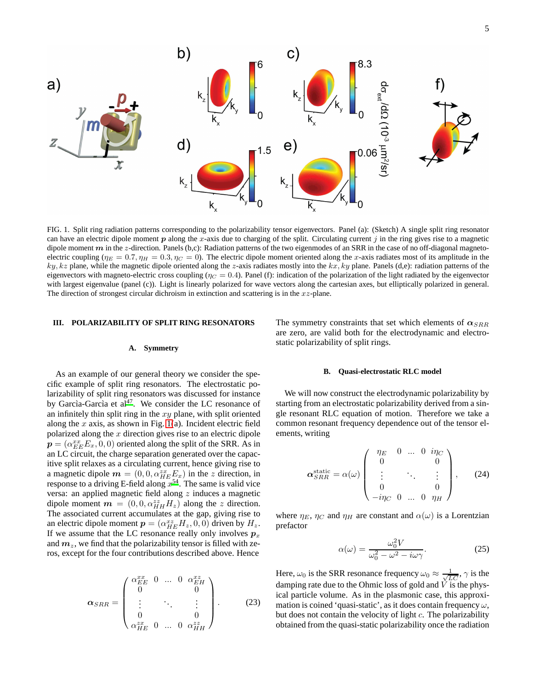

<span id="page-4-1"></span>FIG. 1. Split ring radiation patterns corresponding to the polarizability tensor eigenvectors. Panel (a): (Sketch) A single split ring resonator can have an electric dipole moment  $p$  along the x-axis due to charging of the split. Circulating current  $j$  in the ring gives rise to a magnetic dipole moment  $m$  in the z-direction. Panels (b,c): Radiation patterns of the two eigenmodes of an SRR in the case of no off-diagonal magnetoelectric coupling ( $\eta_E = 0.7$ ,  $\eta_H = 0.3$ ,  $\eta_C = 0$ ). The electric dipole moment oriented along the x-axis radiates most of its amplitude in the  $ky, kz$  plane, while the magnetic dipole oriented along the z-axis radiates mostly into the  $kx, ky$  plane. Panels (d,e): radiation patterns of the eigenvectors with magneto-electric cross coupling ( $\eta_C = 0.4$ ). Panel (f): indication of the polarization of the light radiated by the eigenvector with largest eigenvalue (panel (c)). Light is linearly polarized for wave vectors along the cartesian axes, but elliptically polarized in general. The direction of strongest circular dichroism in extinction and scattering is in the  $xz$ -plane.

### <span id="page-4-0"></span>**III. POLARIZABILITY OF SPLIT RING RESONATORS**

### **A. Symmetry**

As an example of our general theory we consider the specific example of split ring resonators. The electrostatic polarizability of split ring resonators was discussed for instance by Garcìa-Garcìa et al<sup>[47](#page-11-12)</sup>. We consider the LC resonance of an infinitely thin split ring in the  $xy$  plane, with split oriented along the  $x$  axis, as shown in Fig. [1\(](#page-4-1)a). Incident electric field polarized along the  $x$  direction gives rise to an electric dipole  $\boldsymbol{p}=(\alpha_{EE}^{xx}E_{x},0,0)$  oriented along the split of the SRR. As in an LC circuit, the charge separation generated over the capacitive split relaxes as a circulating current, hence giving rise to a magnetic dipole  $\mathbf{m} = (0, 0, \alpha_{HE}^{zx} E_x)$  in the z direction, in response to a driving E-field along  $x^{54}$  $x^{54}$ . The same is valid vice versa: an applied magnetic field along z induces a magnetic dipole moment  $m = (0, 0, \alpha_{HH}^{zz} H_z)$  along the z direction. The associated current accumulates at the gap, giving rise to an electric dipole moment  $p = (\alpha_{HE}^{xz} H_z, 0, 0)$  driven by  $H_z$ . If we assume that the LC resonance really only involves  $p_x$ and  $m_z$ , we find that the polarizability tensor is filled with zeros, except for the four contributions described above. Hence

$$
\boldsymbol{\alpha}_{SRR} = \begin{pmatrix} \alpha_{EE}^{xx} & 0 & \dots & 0 & \alpha_{EH}^{xz} \\ 0 & & & & 0 \\ \vdots & & \ddots & & \vdots \\ 0 & & & 0 & \\ \alpha_{HE}^{zx} & 0 & \dots & 0 & \alpha_{HH}^{zz} \end{pmatrix} .
$$
 (23)

The symmetry constraints that set which elements of  $\alpha_{SRR}$ are zero, are valid both for the electrodynamic and electrostatic polarizability of split rings.

### **B. Quasi-electrostatic RLC model**

We will now construct the electrodynamic polarizability by starting from an electrostatic polarizability derived from a single resonant RLC equation of motion. Therefore we take a common resonant frequency dependence out of the tensor elements, writing

<span id="page-4-2"></span>
$$
\alpha_{SRR}^{\text{static}} = \alpha(\omega) \begin{pmatrix} \eta_E & 0 & \dots & 0 & i\eta_C \\ 0 & & & & 0 \\ \vdots & & \ddots & & \vdots \\ 0 & & & 0 & 0 \\ -i\eta_C & 0 & \dots & 0 & \eta_H \end{pmatrix}, \qquad (24)
$$

where  $\eta_E$ ,  $\eta_C$  and  $\eta_H$  are constant and  $\alpha(\omega)$  is a Lorentzian prefactor

<span id="page-4-3"></span>
$$
\alpha(\omega) = \frac{\omega_0^2 V}{\omega_0^2 - \omega^2 - i\omega \gamma}.
$$
 (25)

Here,  $\omega_0$  is the SRR resonance frequency  $\omega_0 \approx \frac{1}{\sqrt{LC}}$ ,  $\gamma$  is the damping rate due to the Ohmic loss of gold and  $\dot{V}$  is the physical particle volume. As in the plasmonic case, this approximation is coined 'quasi-static', as it does contain frequency  $\omega$ , but does not contain the velocity of light c. The polarizability obtained from the quasi-static polarizability once the radiation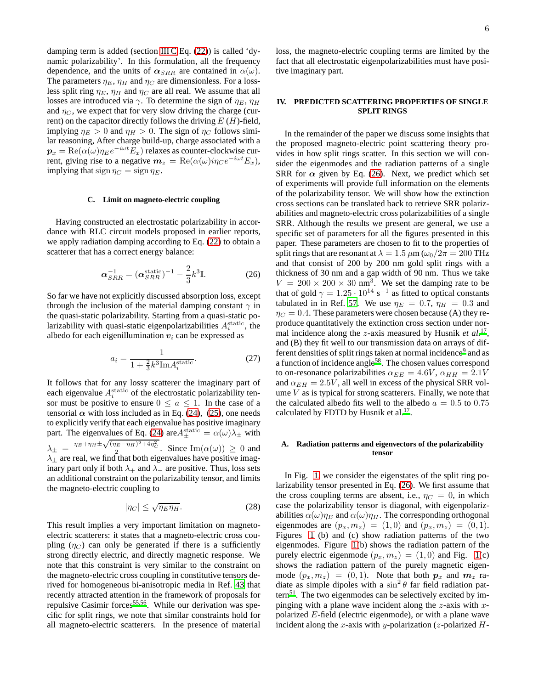damping term is added (section [III C](#page-5-1) Eq. [\(22\)](#page-3-3)) is called 'dynamic polarizability'. In this formulation, all the frequency dependence, and the units of  $\alpha_{SRR}$  are contained in  $\alpha(\omega)$ . The parameters  $\eta_E$ ,  $\eta_H$  and  $\eta_C$  are dimensionless. For a lossless split ring  $\eta_E$ ,  $\eta_H$  and  $\eta_C$  are all real. We assume that all losses are introduced via  $\gamma$ . To determine the sign of  $\eta_E$ ,  $\eta_H$ and  $\eta_C$ , we expect that for very slow driving the charge (current) on the capacitor directly follows the driving  $E(H)$ -field, implying  $\eta_E > 0$  and  $\eta_H > 0$ . The sign of  $\eta_C$  follows similar reasoning, After charge build-up, charge associated with a  $\boldsymbol{p}_x = \mathrm{Re}(\alpha(\omega)\eta_E e^{-i\omega t}E_x)$  relaxes as counter-clockwise current, giving rise to a negative  $m_z = \text{Re}(\alpha(\omega)i\eta_C e^{-i\omega t} E_x)$ , implying that sign  $\eta_C = \text{sign}\,\eta_E$ .

## <span id="page-5-1"></span>**C. Limit on magneto-electric coupling**

Having constructed an electrostatic polarizability in accordance with RLC circuit models proposed in earlier reports, we apply radiation damping according to Eq. [\(22\)](#page-3-3) to obtain a scatterer that has a correct energy balance:

<span id="page-5-2"></span>
$$
\alpha_{SRR}^{-1} = (\alpha_{SRR}^{\text{static}})^{-1} - \frac{2}{3}k^3 \mathbb{I}.
$$
 (26)

So far we have not explicitly discussed absorption loss, except through the inclusion of the material damping constant  $\gamma$  in the quasi-static polarizability. Starting from a quasi-static polarizability with quasi-static eigenpolarizabilities  $A_i^{\text{static}}$ , the albedo for each eigenillumination  $v_i$  can be expressed as

$$
a_i = \frac{1}{1 + \frac{2}{3}k^3 \text{Im} A_i^{\text{static}}}.
$$
 (27)

It follows that for any lossy scatterer the imaginary part of each eigenvalue  $A_i^{\text{static}}$  of the electrostatic polarizability tensor must be positive to ensure  $0 \le a \le 1$ . In the case of a tensorial  $\alpha$  with loss included as in Eq. [\(24\)](#page-4-2), [\(25\)](#page-4-3), one needs to explicitly verify that each eigenvalue has positive imaginary part. The eigenvalues of Eq. [\(24\)](#page-4-2) are  $A_{\pm}^{\text{static}} = \alpha(\omega)\lambda_{\pm}$  with  $\lambda_{\pm} = \frac{\eta_E + \eta_H \pm \sqrt{(\eta_E - \eta_H)^2 + 4\eta_C^2}}{r^2}$ . Since  $\text{Im}(\alpha(\omega)) \geq 0$  and  $\lambda_{\pm}$  are real, we find that both eigenvalues have positive imaginary part only if both  $\lambda_+$  and  $\lambda_-$  are positive. Thus, loss sets an additional constraint on the polarizability tensor, and limits the magneto-electric coupling to

$$
|\eta_C| \le \sqrt{\eta_E \eta_H}.\tag{28}
$$

This result implies a very important limitation on magnetoelectric scatterers: it states that a magneto-electric cross coupling  $(\eta_C)$  can only be generated if there is a sufficiently strong directly electric, and directly magnetic response. We note that this constraint is very similar to the constraint on the magneto-electric cross coupling in constitutive tensors derived for homogeneous bi-anisotropic media in Ref. [43](#page-11-8) that recently attracted attention in the framework of proposals for repulsive Casimir forces<sup>[55](#page-11-21)[,56](#page-11-22)</sup>. While our derivation was specific for split rings, we note that similar constraints hold for all magneto-electric scatterers. In the presence of material loss, the magneto-electric coupling terms are limited by the fact that all electrostatic eigenpolarizabilities must have positive imaginary part.

# <span id="page-5-0"></span>**IV. PREDICTED SCATTERING PROPERTIES OF SINGLE SPLIT RINGS**

In the remainder of the paper we discuss some insights that the proposed magneto-electric point scattering theory provides in how split rings scatter. In this section we will consider the eigenmodes and the radiation patterns of a single SRR for  $\alpha$  given by Eq. [\(26\)](#page-5-2). Next, we predict which set of experiments will provide full information on the elements of the polarizability tensor. We will show how the extinction cross sections can be translated back to retrieve SRR polarizabilities and magneto-electric cross polarizabilities of a single SRR. Although the results we present are general, we use a specific set of parameters for all the figures presented in this paper. These parameters are chosen to fit to the properties of split rings that are resonant at  $\lambda = 1.5 \,\mu \text{m} \left(\frac{\omega_0}{2\pi} \right) = 200 \,\text{THz}$ and that consist of 200 by 200 nm gold split rings with a thickness of 30 nm and a gap width of 90 nm. Thus we take  $V = 200 \times 200 \times 30$  nm<sup>3</sup>. We set the damping rate to be that of gold  $\gamma = 1.25 \cdot 10^{14}$  s<sup>-1</sup> as fitted to optical constants tabulated in in Ref. [57](#page-11-23). We use  $\eta_E = 0.7$ ,  $\eta_H = 0.3$  and  $\eta_C = 0.4$ . These parameters were chosen because (A) they reproduce quantitatively the extinction cross section under nor-mal incidence along the z-axis measured by Husnik et al.<sup>[17](#page-10-12)</sup>, and (B) they fit well to our transmission data on arrays of dif-ferent densities of split rings taken at normal incidence<sup>[9](#page-10-23)</sup> and as a function of incidence angle<sup>[58](#page-11-24)</sup>. The chosen values correspond to on-resonance polarizabilities  $\alpha_{EE} = 4.6V$ ,  $\alpha_{HH} = 2.1V$ and  $\alpha_{EH} = 2.5V$ , all well in excess of the physical SRR volume  $V$  as is typical for strong scatterers. Finally, we note that the calculated albedo fits well to the albedo  $a = 0.5$  to 0.75 calculated by FDTD by Husnik et al.<sup>[17](#page-10-12)</sup>.

# **A. Radiation patterns and eigenvectors of the polarizability tensor**

In Fig. [1,](#page-4-1) we consider the eigenstates of the split ring polarizability tensor presented in Eq. [\(26\)](#page-5-2). We first assume that the cross coupling terms are absent, i.e.,  $\eta_C = 0$ , in which case the polarizability tensor is diagonal, with eigenpolarizabilities  $\alpha(\omega)\eta_E$  and  $\alpha(\omega)\eta_H$ . The corresponding orthogonal eigenmodes are  $(p_x, m_z) = (1, 0)$  and  $(p_x, m_z) = (0, 1)$ . Figures [1](#page-4-1) (b) and (c) show radiation patterns of the two eigenmodes. Figure [1\(](#page-4-1)b) shows the radiation pattern of the purely electric eigenmode  $(p_x, m_z) = (1, 0)$  and Fig. [1\(](#page-4-1)c) shows the radiation pattern of the purely magnetic eigenmode  $(p_x, m_z) = (0, 1)$ . Note that both  $p_x$  and  $m_z$  radiate as simple dipoles with a  $\sin^2 \theta$  far field radiation pat- $\text{term}^{51}$ . The two eige[n](#page-11-17)modes can be selectively excited by impinging with a plane wave incident along the  $z$ -axis with  $x$ polarized E-field (electric eigenmode), or with a plane wave incident along the x-axis with y-polarization (z-polarized  $H$ -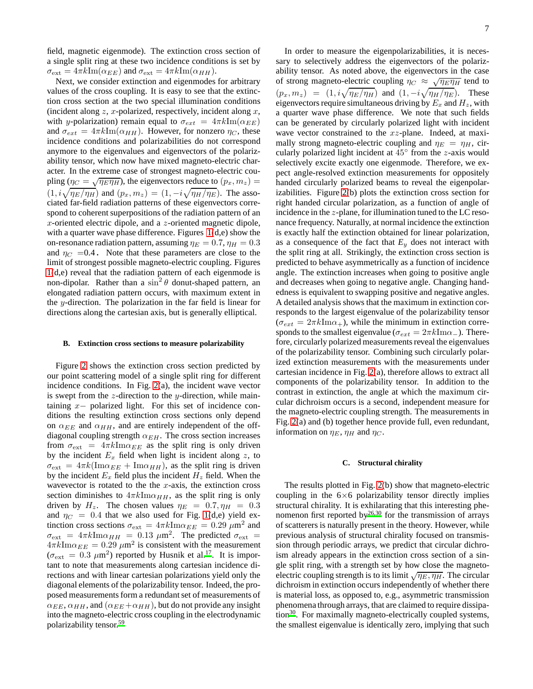7

field, magnetic eigenmode). The extinction cross section of a single split ring at these two incidence conditions is set by  $\sigma_{\text{ext}} = 4\pi k \text{Im}(\alpha_{EE})$  and  $\sigma_{\text{ext}} = 4\pi k \text{Im}(\alpha_{HH})$ .

Next, we consider extinction and eigenmodes for arbitrary values of the cross coupling. It is easy to see that the extinction cross section at the two special illumination conditions (incident along  $z$ ,  $x$ -polarized, respectively, incident along  $x$ , with y-polarization) remain equal to  $\sigma_{ext} = 4\pi k \text{Im}(\alpha_{EE})$ and  $\sigma_{ext} = 4\pi k \text{Im}(\alpha_{HH})$ . However, for nonzero  $\eta_C$ , these incidence conditions and polarizabilities do not correspond anymore to the eigenvalues and eigenvectors of the polarizability tensor, which now have mixed magneto-electric character. In the extreme case of strongest magneto-electric coupling ( $\eta_C = \sqrt{\eta_E \eta_H}$ ), the eigenvectors reduce to  $(p_x, m_z)$  =  $(1, i\sqrt{\eta_E/\eta_H})$  and  $(p_x, m_z) = (1, -i\sqrt{\eta_H/\eta_E})$ . The associated far-field radiation patterns of these eigenvectors correspond to coherent superpositions of the radiation pattern of an x-oriented electric dipole, and a z-oriented magnetic dipole, with a quarter wave phase difference. Figures  $1(d,e)$  show the on-resonance radiation pattern, assuming  $\eta_E = 0.7$ ,  $\eta_H = 0.3$ and  $\eta_C$  =0.4. Note that these parameters are close to the limit of strongest possible magneto-electric coupling. Figures [1\(](#page-4-1)d,e) reveal that the radiation pattern of each eigenmode is non-dipolar. Rather than a  $\sin^2 \theta$  donut-shaped pattern, an elongated radiation pattern occurs, with maximum extent in the y-direction. The polarization in the far field is linear for directions along the cartesian axis, but is generally elliptical.

### **B. Extinction cross sections to measure polarizability**

Figure [2](#page-7-1) shows the extinction cross section predicted by our point scattering model of a single split ring for different incidence conditions. In Fig. [2\(](#page-7-1)a), the incident wave vector is swept from the  $z$ -direction to the  $y$ -direction, while maintaining x− polarized light. For this set of incidence conditions the resulting extinction cross sections only depend on  $\alpha_{EE}$  and  $\alpha_{HH}$ , and are entirely independent of the offdiagonal coupling strength  $\alpha_{EH}$ . The cross section increases from  $\sigma_{\text{ext}} = 4\pi k \text{Im}\alpha_{EE}$  as the split ring is only driven by the incident  $E_x$  field when light is incident along z, to  $\sigma_{\text{ext}} = 4\pi k(\text{Im}\alpha_{EE} + \text{Im}\alpha_{HH})$ , as the split ring is driven by the incident  $E_x$  field plus the incident  $H_z$  field. When the wavevector is rotated to the the  $x$ -axis, the extinction cross section diminishes to  $4\pi k \text{Im}\alpha_{HH}$ , as the split ring is only driven by  $H_z$ . The chosen values  $\eta_E = 0.7, \eta_H = 0.3$ and  $\eta_C = 0.4$  that we also used for Fig. [1\(](#page-4-1)d,e) yield extinction cross sections  $\sigma_{ext} = 4\pi k \text{Im}\alpha_{EE} = 0.29 \ \mu \text{m}^2$  and  $\sigma_{\rm ext}$  =  $4\pi k \text{Im}\alpha_{HH}$  = 0.13  $\mu$ m<sup>2</sup>. The predicted  $\sigma_{\rm ext}$  =  $4\pi k \text{Im}\alpha_{EE} = 0.29 \ \mu \text{m}^2$  is consistent with the measurement  $(\sigma_{\text{ext}} = 0.3 \ \mu \text{m}^2)$  reported by Husnik et al.<sup>[17](#page-10-12)</sup>. It is important to note that measurements along cartesian incidence directions and with linear cartesian polarizations yield only the diagonal elements of the polarizability tensor. Indeed, the proposed measurements form a redundant set of measurements of  $\alpha_{EE}, \alpha_{HH}$ , and  $(\alpha_{EE} + \alpha_{HH})$ , but do not provide any insight into the magneto-electric cross coupling in the electrodynamic polarizability tensor.[59](#page-11-25)

In order to measure the eigenpolarizabilities, it is necessary to selectively address the eigenvectors of the polarizability tensor. As noted above, the eigenvectors in the case of strong magneto-electric coupling  $\eta_C \approx \sqrt{\eta_E \eta_H}$  tend to  $(p_x, m_z) = (1, i\sqrt{\eta_E/\eta_H})$  and  $(1, -i\sqrt{\eta_H/\eta_E})$ . These eigenvectors require simultaneous driving by  $E_x$  and  $H_z$ , with a quarter wave phase difference. We note that such fields can be generated by circularly polarized light with incident wave vector constrained to the xz-plane. Indeed, at maximally strong magneto-electric coupling and  $\eta_E = \eta_H$ , circularly polarized light incident at 45◦ from the z-axis would selectively excite exactly one eigenmode. Therefore, we expect angle-resolved extinction measurements for oppositely handed circularly polarized beams to reveal the eigenpolarizabilities. Figure [2\(](#page-7-1)b) plots the extinction cross section for right handed circular polarization, as a function of angle of incidence in the z-plane, for illumination tuned to the LC resonance frequency. Naturally, at normal incidence the extinction is exactly half the extinction obtained for linear polarization, as a consequence of the fact that  $E_y$  does not interact with the split ring at all. Strikingly, the extinction cross section is predicted to behave asymmetrically as a function of incidence angle. The extinction increases when going to positive angle and decreases when going to negative angle. Changing handedness is equivalent to swapping positive and negative angles. A detailed analysis shows that the maximum in extinction corresponds to the largest eigenvalue of the polarizability tensor  $(\sigma_{ext} = 2\pi k \text{Im}\alpha_+)$ , while the minimum in extinction corresponds to the smallest eigenvalue ( $\sigma_{ext} = 2\pi k \text{Im}\alpha_{-}$ ). Therefore, circularly polarized measurements reveal the eigenvalues of the polarizability tensor. Combining such circularly polarized extinction measurements with the measurements under cartesian incidence in Fig. [2\(](#page-7-1)a), therefore allows to extract all components of the polarizability tensor. In addition to the contrast in extinction, the angle at which the maximum circular dichroism occurs is a second, independent measure for the magneto-electric coupling strength. The measurements in Fig. [2\(](#page-7-1)a) and (b) together hence provide full, even redundant, information on  $\eta_E$ ,  $\eta_H$  and  $\eta_C$ .

### **C. Structural chirality**

The results plotted in Fig. [2\(](#page-7-1)b) show that magneto-electric coupling in the  $6\times 6$  polarizability tensor directly implies structural chirality. It is exhilarating that this interesting phenomenon first reported by $26,30$  $26,30$  for the transmission of arrays of scatterers is naturally present in the theory. However, while previous analysis of structural chirality focused on transmission through periodic arrays, we predict that circular dichroism already appears in the extinction cross section of a single split ring, with a strength set by how close the magnetoelectric coupling strength is to its limit  $\sqrt{\eta_E, \eta_H}$ . The circular dichroism in extinction occurs independently of whether there is material loss, as opposed to, e.g., asymmetric transmission phenomena through arrays, that are claimed to require dissipa- $\mu$ <sub>[30](#page-10-25)</sub>. For maximally magneto-electrically coupled systems, the smallest eigenvalue is identically zero, implying that such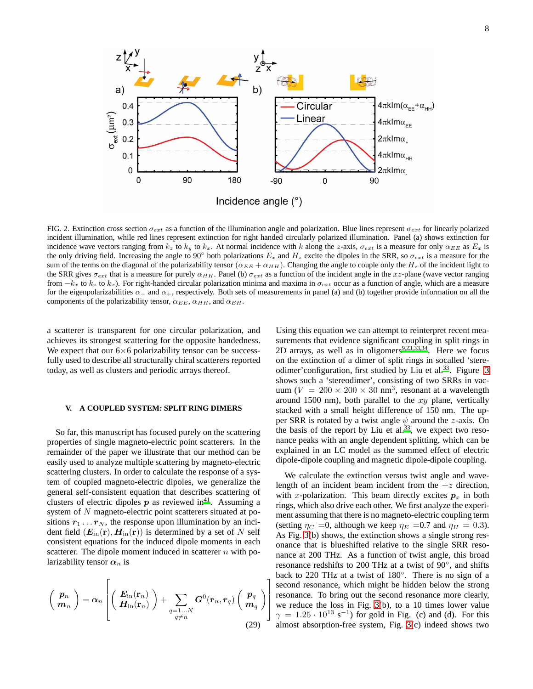

<span id="page-7-1"></span>FIG. 2. Extinction cross section  $\sigma_{ext}$  as a function of the illumination angle and polarization. Blue lines represent  $\sigma_{ext}$  for linearly polarized incident illumination, while red lines represent extinction for right handed circularly polarized illumination. Panel (a) shows extinction for incidence wave vectors ranging from  $k_z$  to  $k_y$  to  $k_x$ . At normal incidence with k along the z-axis,  $\sigma_{ext}$  is a measure for only  $\alpha_{EE}$  as  $E_x$  is the only driving field. Increasing the angle to 90° both polarizations  $E_x$  and  $H_z$  excite the dipoles in the SRR, so  $\sigma_{ext}$  is a measure for the sum of the terms on the diagonal of the polarizability tensor ( $\alpha_{EE} + \alpha_{HH}$ ). Changing the angle to couple only the  $H_z$  of the incident light to the SRR gives  $\sigma_{ext}$  that is a measure for purely  $\alpha_{HH}$ . Panel (b)  $\sigma_{ext}$  as a function of the incident angle in the xz-plane (wave vector ranging from  $-k_x$  to  $k_z$  to  $k_x$ ). For right-handed circular polarization minima and maxima in  $\sigma_{ext}$  occur as a function of angle, which are a measure for the eigenpolarizabilities  $\alpha_-\$  and  $\alpha_+$ , respectively. Both sets of measurements in panel (a) and (b) together provide information on all the components of the polarizability tensor,  $\alpha_{EE}$ ,  $\alpha_{HH}$ , and  $\alpha_{EH}$ .

1  $\mathbf{I}$  $\mathbf{I}$  $\mathbf{I}$ 

a scatterer is transparent for one circular polarization, and achieves its strongest scattering for the opposite handedness. We expect that our  $6\times 6$  polarizability tensor can be successfully used to describe all structurally chiral scatterers reported today, as well as clusters and periodic arrays thereof.

### <span id="page-7-0"></span>**V. A COUPLED SYSTEM: SPLIT RING DIMERS**

So far, this manuscript has focused purely on the scattering properties of single magneto-electric point scatterers. In the remainder of the paper we illustrate that our method can be easily used to analyze multiple scattering by magneto-electric scattering clusters. In order to calculate the response of a system of coupled magneto-electric dipoles, we generalize the general self-consistent equation that describes scattering of clusters of electric dipoles  $p$  as reviewed i[n](#page-11-6)<sup>41</sup>. Assuming a system of N magneto-electric point scatterers situated at positions  $r_1 \ldots r_N$ , the response upon illumination by an incident field  $(E_{in}({\bf r}), H_{in}({\bf r}))$  is determined by a set of N self consistent equations for the induced dipole moments in each scatterer. The dipole moment induced in scatterer  $n$  with polarizability tensor  $\alpha_n$  is

<span id="page-7-2"></span>
$$
\left(\begin{array}{c}p_n\\m_n\end{array}\right)=\boldsymbol{\alpha}_n\left[\left(\begin{array}{c}\boldsymbol{E}_{\text{in}}(\mathbf{r}_n)\\ \boldsymbol{H}_{\text{in}}(\mathbf{r}_n)\end{array}\right)+\sum_{\substack{q=1...N\\q\neq n}}\boldsymbol{G}^0(\boldsymbol{r}_n,\boldsymbol{r}_q)\left(\begin{array}{c}p_q\\m_q\end{array}\right)\right]
$$
(29)

Using this equation we can attempt to reinterpret recent measurements that evidence significant coupling in split rings in 2D arrays, as well as in oligomers<sup>[9](#page-10-23)[,23](#page-10-16)[,33](#page-11-1)[,34](#page-11-2)</sup>. Here we focus on the extinction of a dimer of split rings in socalled 'stere-odimer'configuration, first studied by Liu et al.<sup>[33](#page-11-1)</sup>. Figure [3](#page-8-0) shows such a 'stereodimer', consisting of two SRRs in vacuum ( $V = 200 \times 200 \times 30$  nm<sup>3</sup>, resonant at a wavelength around 1500 nm), both parallel to the  $xy$  plane, vertically stacked with a small height difference of 150 nm. The upper SRR is rotated by a twist angle  $\psi$  around the z-axis. On the basis of the report by Liu et al. $33$ , we expect two resonance peaks with an angle dependent splitting, which can be explained in an LC model as the summed effect of electric dipole-dipole coupling and magnetic dipole-dipole coupling.

We calculate the extinction versus twist angle and wavelength of an incident beam incident from the  $+z$  direction, with x-polarization. This beam directly excites  $p<sub>x</sub>$  in both rings, which also drive each other. We first analyze the experiment assuming that there is no magneto-electric coupling term (setting  $\eta_C = 0$ , although we keep  $\eta_E = 0.7$  and  $\eta_H = 0.3$ ). As Fig. [3\(](#page-8-0)b) shows, the extinction shows a single strong resonance that is blueshifted relative to the single SRR resonance at 200 THz. As a function of twist angle, this broad resonance redshifts to 200 THz at a twist of 90°, and shifts back to 220 THz at a twist of 180◦ . There is no sign of a second resonance, which might be hidden below the strong resonance. To bring out the second resonance more clearly, we reduce the loss in Fig. [3\(](#page-8-0)b), to a 10 times lower value  $\gamma = 1.25 \cdot 10^{13} \text{ s}^{-1}$ ) for gold in Fig. (c) and (d). For this almost absorption-free system, Fig. [3\(](#page-8-0)c) indeed shows two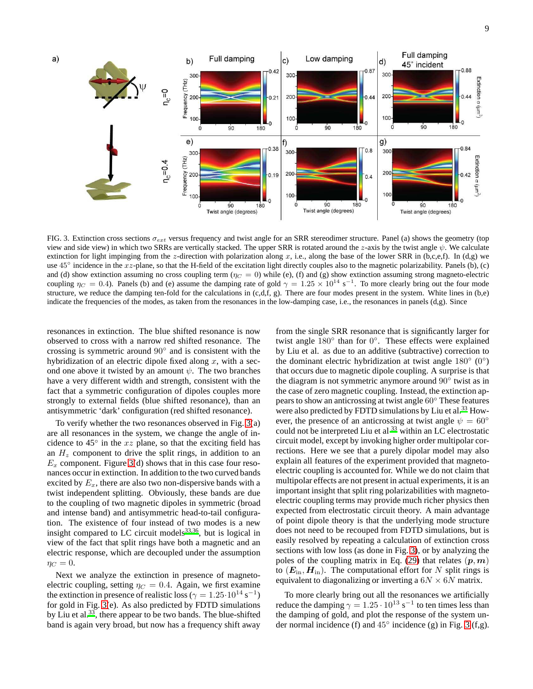

<span id="page-8-0"></span>FIG. 3. Extinction cross sections  $\sigma_{ext}$  versus frequency and twist angle for an SRR stereodimer structure. Panel (a) shows the geometry (top view and side view) in which two SRRs are vertically stacked. The upper SRR is rotated around the z-axis by the twist angle  $\psi$ . We calculate extinction for light impinging from the z-direction with polarization along x, i.e., along the base of the lower SRR in  $(b,c,e,f)$ . In (d,g) we use  $45^\circ$  incidence in the xz-plane, so that the H-field of the excitation light directly couples also to the magnetic polarizability. Panels (b), (c) and (d) show extinction assuming no cross coupling term  $(\eta_C = 0)$  while (e), (f) and (g) show extinction assuming strong magneto-electric coupling  $\eta_C = 0.4$ ). Panels (b) and (e) assume the damping rate of gold  $\gamma = 1.25 \times 10^{14} \text{ s}^{-1}$ . To more clearly bring out the four mode structure, we reduce the damping ten-fold for the calculations in  $(c,d,f, g)$ . There are four modes present in the system. White lines in  $(b,e)$ indicate the frequencies of the modes, as taken from the resonances in the low-damping case, i.e., the resonances in panels (d,g). Since

resonances in extinction. The blue shifted resonance is now observed to cross with a narrow red shifted resonance. The crossing is symmetric around 90◦ and is consistent with the hybridization of an electric dipole fixed along  $x$ , with a second one above it twisted by an amount  $\psi$ . The two branches have a very different width and strength, consistent with the fact that a symmetric configuration of dipoles couples more strongly to external fields (blue shifted resonance), than an antisymmetric 'dark' configuration (red shifted resonance).

To verify whether the two resonances observed in Fig. [3\(](#page-8-0)a) are all resonances in the system, we change the angle of incidence to  $45^\circ$  in the xz plane, so that the exciting field has an  $H<sub>z</sub>$  component to drive the split rings, in addition to an  $E_x$  component. Figure [3\(](#page-8-0)d) shows that in this case four resonances occur in extinction. In addition to the two curved bands excited by  $E_x$ , there are also two non-dispersive bands with a twist independent splitting. Obviously, these bands are due to the coupling of two magnetic dipoles in symmetric (broad and intense band) and antisymmetric head-to-tail configuration. The existence of four instead of two modes is a new insight compared to LC circuit models<sup>[33](#page-11-1)[,36](#page-11-26)</sup>, but is logical in view of the fact that split rings have both a magnetic and an electric response, which are decoupled under the assumption  $\eta_C = 0.$ 

Next we analyze the extinction in presence of magnetoelectric coupling, setting  $\eta_C = 0.4$ . Again, we first examine the extinction in presence of realistic loss ( $\gamma = 1.25 \cdot 10^{14} \text{ s}^{-1}$ ) for gold in Fig. [3\(](#page-8-0)e). As also predicted by FDTD simulations by Liu et al.<sup>[33](#page-11-1)</sup>, there appear to be two bands. The blue-shifted band is again very broad, but now has a frequency shift away

from the single SRR resonance that is significantly larger for twist angle 180° than for 0°. These effects were explained by Liu et al. as due to an additive (subtractive) correction to the dominant electric hybridization at twist angle  $180^\circ$  (0°) that occurs due to magnetic dipole coupling. A surprise is that the diagram is not symmetric anymore around 90◦ twist as in the case of zero magnetic coupling. Instead, the extinction appears to show an anticrossing at twist angle 60◦ These features were also predicted by FDTD simulations by Liu et al.<sup>[33](#page-11-1)</sup> However, the presence of an anticrossing at twist angle  $\psi = 60^\circ$ could not be interpreted Liu et al <sup>[33](#page-11-1)</sup> within an LC electrostatic circuit model, except by invoking higher order multipolar corrections. Here we see that a purely dipolar model may also explain all features of the experiment provided that magnetoelectric coupling is accounted for. While we do not claim that multipolar effects are not present in actual experiments, it is an important insight that split ring polarizabilities with magnetoelectric coupling terms may provide much richer physics then expected from electrostatic circuit theory. A main advantage of point dipole theory is that the underlying mode structure does not need to be recouped from FDTD simulations, but is easily resolved by repeating a calculation of extinction cross sections with low loss (as done in Fig. [3\)](#page-8-0), or by analyzing the poles of the coupling matrix in Eq. [\(29\)](#page-7-2) that relates  $(p, m)$ to  $(E_{\text{in}}, H_{\text{in}})$ . The computational effort for N split rings is equivalent to diagonalizing or inverting a  $6N \times 6N$  matrix.

To more clearly bring out all the resonances we artificially reduce the damping  $\gamma = 1.25 \cdot 10^{13} \text{ s}^{-1}$  to ten times less than the damping of gold, and plot the response of the system under normal incidence (f) and  $45^\circ$  incidence (g) in Fig. [3](#page-8-0) (f,g).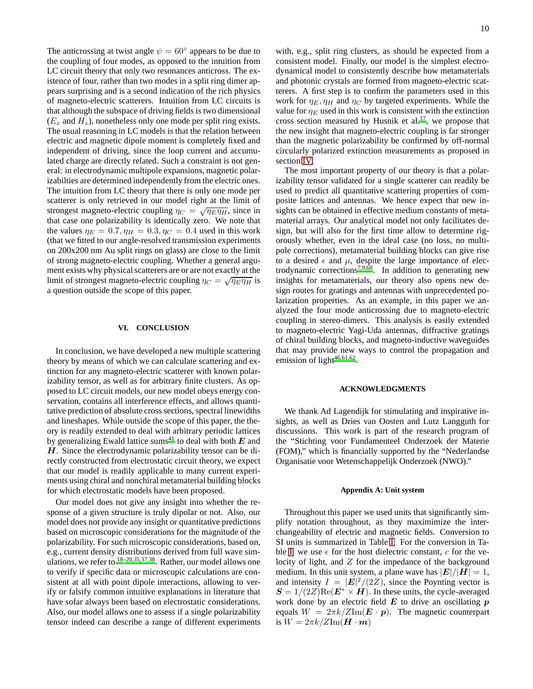The anticrossing at twist angle  $\psi = 60^{\circ}$  appears to be due to the coupling of four modes, as opposed to the intuition from LC circuit theory that only two resonances anticross. The existence of four, rather than two modes in a split ring dimer appears surprising and is a second indication of the rich physics of magneto-electric scatterers. Intuition from LC circuits is that although the subspace of driving fields is two dimensional  $(E_x$  and  $H_z$ ), nonetheless only one mode per split ring exists. The usual reasoning in LC models is that the relation between electric and magnetic dipole moment is completely fixed and independent of driving, since the loop current and accumulated charge are directly related. Such a constraint is not general: in electrodynamic multipole expansions, magnetic polarizabilties are determined independently from the electric ones. The intuition from LC theory that there is only one mode per scatterer is only retrieved in our model right at the limit of strongest magneto-electric coupling  $\eta_C = \sqrt{\eta_E \eta_H}$ , since in that case one polarizability is identically zero. We note that the values  $\eta_E = 0.7$ ,  $\eta_H = 0.3$ ,  $\eta_C = 0.4$  used in this work (that we fitted to our angle-resolved transmission experiments on 200x200 nm Au split rings on glass) are close to the limit of strong magneto-electric coupling. Whether a general argument exists why physical scatterers are or are not exactly at the limit of strongest magneto-electric coupling  $\eta_C = \sqrt{\eta_E \eta_H}$  is a question outside the scope of this paper.

### **VI. CONCLUSION**

In conclusion, we have developed a new multiple scattering theory by means of which we can calculate scattering and extinction for any magneto-electric scatterer with known polarizability tensor, as well as for arbitrary finite clusters. As opposed to LC circuit models, our new model obeys energy conservation, contains all interference effects, and allows quantitative prediction of absolute cross sections, spectral linewidths and lineshapes. While outside the scope of this paper, the theory is readily extended to deal with arbitrary periodic lattices by generalizing Ewald lattice [s](#page-11-6)ums<sup>41</sup> to deal with both  $E$  and  $H$ . Since the electrodynamic polarizability tensor can be directly constructed from electrostatic circuit theory, we expect that our model is readily applicable to many current experiments using chiral and nonchiral metamaterial building blocks for which electrostatic models have been proposed.

Our model does not give any insight into whether the response of a given structure is truly dipolar or not. Also, our model does not provide any insight or quantitative predictions based on microscopic considerations for the magnitude of the polarizability. For such microscopic considerations, based on, e.g., current density distributions derived from full wave simulations, we refer to  $18-20,35,37,38$  $18-20,35,37,38$  $18-20,35,37,38$  $18-20,35,37,38$  $18-20,35,37,38$ . Rather, our model allows one to verify if specific data or microscopic calculations are consistent at all with point dipole interactions, allowing to verify or falsify common intuitive explanations in literature that have sofar always been based on electrostatic considerations. Also, our model allows one to assess if a single polarizability tensor indeed can describe a range of different experiments with, e.g., split ring clusters, as should be expected from a consistent model. Finally, our model is the simplest electrodynamical model to consistently describe how metamaterials and photonic crystals are formed from magneto-electric scatterers. A first step is to confirm the parameters used in this work for  $\eta_E$ ,  $\eta_H$  and  $\eta_C$  by targeted experiments. While the value for  $\eta_E$  used in this work is consistent with the extinction cross section measured by Husnik et al[.](#page-10-12)<sup>17</sup>, we propose that the new insight that magneto-electric coupling is far stronger than the magnetic polarizability be confirmed by off-normal circularly polarized extinction measurements as proposed in section [IV.](#page-5-0)

The most important property of our theory is that a polarizability tensor validated for a single scatterer can readily be used to predict all quantitative scattering properties of composite lattices and antennas. We hence expect that new insights can be obtained in effective medium constants of metamaterial arrays. Our analytical model not only facilitates design, but will also for the first time allow to determine rigorously whether, even in the ideal case (no loss, no multipole corrections), metamaterial building blocks can give rise to a desired  $\epsilon$  and  $\mu$ , despite the large importance of elec-trodynamic corrections<sup>[7](#page-10-24)[,9](#page-10-23)[,60](#page-11-28)</sup>. In addition to generating new insights for metamaterials, our theory also opens new design routes for gratings and antennas with unprecedented polarization properties. As an example, in this paper we analyzed the four mode anticrossing due to magneto-electric coupling in stereo-dimers. This analysis is easily extended to magneto-electric Yagi-Uda antennas, diffractive gratings of chiral building blocks, and magneto-inductive waveguides that may provide new ways to control the propagation and emission of light $46,61,62$  $46,61,62$  $46,61,62$ .

### **ACKNOWLEDGMENTS**

We thank Ad Lagendijk for stimulating and inspirative insights, as well as Dries van Oosten and Lutz Langguth for discussions. This work is part of the research program of the "Stichting voor Fundamenteel Onderzoek der Materie (FOM)," which is financially supported by the "Nederlandse Organisatie voor Wetenschappelijk Onderzoek (NWO)."

### <span id="page-9-0"></span>**Appendix A: Unit system**

Throughout this paper we used units that significantly simplify notation throughout, as they maximimize the interchangeability of electric and magnetic fields. Conversion to SI units is summarized in Table [I.](#page-10-26) For the conversion in Ta-ble [I,](#page-10-26) we use  $\epsilon$  for the host dielectric constant, c for the velocity of light, and  $Z$  for the impedance of the background medium. In this unit system, a plane wave has  $|E|/|H| = 1$ , and intensity  $I = |E|^2/(2Z)$ , since the Poynting vector is  $S = 1/(2Z)$ Re( $E^* \times H$ ). In these units, the cycle-averaged work done by an electric field  $E$  to drive an oscillating  $p$ equals  $W = 2\pi k/Z\text{Im}(\mathbf{E} \cdot \mathbf{p})$ . The magnetic counterpart is  $W = 2\pi k / Z \text{Im}(\boldsymbol{H} \cdot \boldsymbol{m})$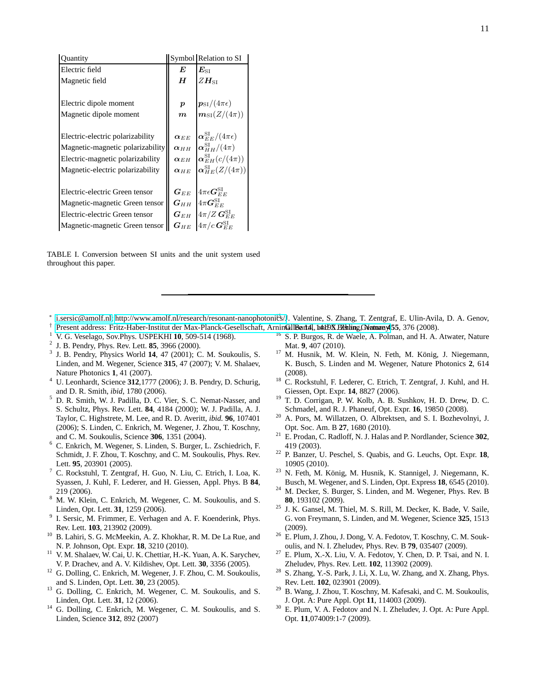| Quantity                         |                        | Symbol Relation to SI                         |
|----------------------------------|------------------------|-----------------------------------------------|
| Electric field                   | E                      | $\bm{E}_{\mathrm{ST}}$                        |
| Magnetic field                   | $H_{\rm}$              | $ZH$ st                                       |
|                                  |                        |                                               |
| Electric dipole moment           | $\boldsymbol{p}$       | $\boldsymbol{p}_{\mathrm{SI}}/(4\pi\epsilon)$ |
| Magnetic dipole moment           | $\boldsymbol{m}$       | $m_{\text{SI}}(Z/(4\pi))$                     |
|                                  |                        |                                               |
| Electric-electric polarizability | $\alpha$ <sub>EE</sub> | $ \bm{\alpha}_{EE}^{\rm SI} /(4\pi\epsilon)$  |
| Magnetic-magnetic polarizability | $\alpha$ <sub>HH</sub> | $\alpha_{HH}^{\text{SI}}/(4\pi)$              |
| Electric-magnetic polarizability | $\alpha$ <sub>EH</sub> | $\alpha_{EH}^{\text{SI}}(c/(4\pi))$           |
| Magnetic-electric polarizability | $\alpha$ <sub>HE</sub> | $\alpha_{HE}^{\text{SI}}(Z/(4\pi))$           |
|                                  |                        |                                               |
| Electric-electric Green tensor   | $\bm{G}_{EE}$          | $4\pi\epsilon{\bm G}^{\rm SI}_{EE}$           |
| Magnetic-magnetic Green tensor   | $G$ н н                | $4\pi G_{FF}^{\rm SI}$                        |
| Electric-electric Green tensor   | $\bm{G}_{EH}$          | $4\pi/Z\, {\bf G}^{\rm SI}_{EE}$              |
| Magnetic-magnetic Green tensor   | $\bm{G}_{HE}$          | $4\pi/c$ $\bm{G}_{EE}^{\rm SI}$               |

<span id="page-10-26"></span>TABLE I. Conversion between SI units and the unit system used throughout this paper.

- ∗ [i.sersic@amolf.nl;](mailto:i.sersic@amolf.nl)<http://www.amolf.nl/research/resonant-nanophotonics/>J. Valentine, S. Zhang, T. Zentgraf, E. Ulin-Avila, D. A. Genov,
- <span id="page-10-0"></span>† Present address: Fritz-Haber-Institut der Max-Planck-Gesellschaft, Arnin**GillBart4!, h4itDX.B2hting,Gentmany455**, 376 (2008).
- <span id="page-10-2"></span><span id="page-10-1"></span><sup>1</sup> V. G. Veselago, Sov.Phys. USPEKHI **10**, 509-514 (1968).
- 2 J. B. Pendry, Phys. Rev. Lett. **85**, 3966 (2000).
- <span id="page-10-3"></span>3 J. B. Pendry, Physics World **14**, 47 (2001); C. M. Soukoulis, S. Linden, and M. Wegener, Science **315**, 47 (2007); V. M. Shalaev, Nature Photonics **1**, 41 (2007).
- <span id="page-10-4"></span><sup>4</sup> U. Leonhardt, Science **312**,1777 (2006); J. B. Pendry, D. Schurig, and D. R. Smith, *ibid*, 1780 (2006).
- <span id="page-10-5"></span><sup>5</sup> D. R. Smith, W. J. Padilla, D. C. Vier, S. C. Nemat-Nasser, and S. Schultz, Phys. Rev. Lett. **84**, 4184 (2000); W. J. Padilla, A. J. Taylor, C. Highstrete, M. Lee, and R. D. Averitt, *ibid.* **96**, 107401 (2006); S. Linden, C. Enkrich, M. Wegener, J. Zhou, T. Koschny, and C. M. Soukoulis, Science **306**, 1351 (2004).
- <span id="page-10-19"></span><sup>6</sup> C. Enkrich, M. Wegener, S. Linden, S. Burger, L. Zschiedrich, F. Schmidt, J. F. Zhou, T. Koschny, and C. M. Soukoulis, Phys. Rev. Lett. **95**, 203901 (2005).
- <span id="page-10-24"></span><sup>7</sup> C. Rockstuhl, T. Zentgraf, H. Guo, N. Liu, C. Etrich, I. Loa, K. Syassen, J. Kuhl, F. Lederer, and H. Giessen, Appl. Phys. B **84**, 219 (2006).
- <span id="page-10-20"></span><sup>8</sup> M. W. Klein, C. Enkrich, M. Wegener, C. M. Soukoulis, and S. Linden, Opt. Lett. **31**, 1259 (2006).
- <span id="page-10-23"></span>9 I. Sersic, M. Frimmer, E. Verhagen and A. F. Koenderink, Phys. Rev. Lett. **103**, 213902 (2009).
- <span id="page-10-6"></span><sup>10</sup> B. Lahiri, S. G. McMeekin, A. Z. Khokhar, R. M. De La Rue, and N. P. Johnson, Opt. Expr. **18**, 3210 (2010).
- <span id="page-10-7"></span><sup>11</sup> V. M. Shalaev, W. Cai, U. K. Chettiar, H.-K. Yuan, A. K. Sarychev, V. P. Drachev, and A. V. Kildishev, Opt. Lett. **30**, 3356 (2005).
- <span id="page-10-8"></span><sup>12</sup> G. Dolling, C. Enkrich, M. Wegener, J. F. Zhou, C. M. Soukoulis, and S. Linden, Opt. Lett. **30**, 23 (2005).
- <span id="page-10-9"></span> $13$  G. Dolling, C. Enkrich, M. Wegener, C. M. Soukoulis, and S. Linden, Opt. Lett. **31**, 12 (2006).
- <sup>14</sup> G. Dolling, C. Enkrich, M. Wegener, C. M. Soukoulis, and S. Linden, Science **312**, 892 (2007)
- <span id="page-10-11"></span><span id="page-10-10"></span><sup>16</sup> S. P. Burgos, R. de Waele, A. Polman, and H. A. Atwater, Nature Mat. **9**, 407 (2010).
- <span id="page-10-12"></span><sup>17</sup> M. Husnik, M. W. Klein, N. Feth, M. König, J. Niegemann, K. Busch, S. Linden and M. Wegener, Nature Photonics **2**, 614 (2008).
- <span id="page-10-21"></span><sup>18</sup> C. Rockstuhl, F. Lederer, C. Etrich, T. Zentgraf, J. Kuhl, and H. Giessen, Opt. Expr. **14**, 8827 (2006).
- <sup>19</sup> T. D. Corrigan, P. W. Kolb, A. B. Sushkov, H. D. Drew, D. C. Schmadel, and R. J. Phaneuf, Opt. Expr. **16**, 19850 (2008).
- <span id="page-10-13"></span> $20$  A. Pors, M. Willatzen, O. Albrektsen, and S. I. Bozhevolnyi, J. Opt. Soc. Am. B **27**, 1680 (2010).
- <span id="page-10-14"></span><sup>21</sup> E. Prodan, C. Radloff, N. J. Halas and P. Nordlander, Science **302**, 419 (2003).
- <span id="page-10-15"></span><sup>22</sup> P. Banzer, U. Peschel, S. Quabis, and G. Leuchs, Opt. Expr. **18**, 10905 (2010).
- <span id="page-10-16"></span><sup>23</sup> N. Feth, M. König, M. Husnik, K. Stannigel, J. Niegemann, K. Busch, M. Wegener, and S. Linden, Opt. Express **18**, 6545 (2010).
- <span id="page-10-17"></span><sup>24</sup> M. Decker, S. Burger, S. Linden, and M. Wegener, Phys. Rev. B **80**, 193102 (2009).
- <span id="page-10-18"></span><sup>25</sup> J. K. Gansel, M. Thiel, M. S. Rill, M. Decker, K. Bade, V. Saile, G. von Freymann, S. Linden, and M. Wegener, Science **325**, 1513 (2009).
- <span id="page-10-22"></span><sup>26</sup> E. Plum, J. Zhou, J. Dong, V. A. Fedotov, T. Koschny, C. M. Soukoulis, and N. I. Zheludev, Phys. Rev. B **79**, 035407 (2009).
- $27$  E. Plum, X.-X. Liu, V. A. Fedotov, Y. Chen, D. P. Tsai, and N. I. Zheludev, Phys. Rev. Lett. **102**, 113902 (2009).
- <sup>28</sup> S. Zhang, Y.-S. Park, J. Li, X. Lu, W. Zhang, and X. Zhang, Phys. Rev. Lett. **102**, 023901 (2009).
- <sup>29</sup> B. Wang, J. Zhou, T. Koschny, M. Kafesaki, and C. M. Soukoulis, J. Opt. A: Pure Appl. Opt **11**, 114003 (2009).
- <span id="page-10-25"></span><sup>30</sup> E. Plum, V. A. Fedotov and N. I. Zheludev, J. Opt. A: Pure Appl. Opt. **11**,074009:1-7 (2009).